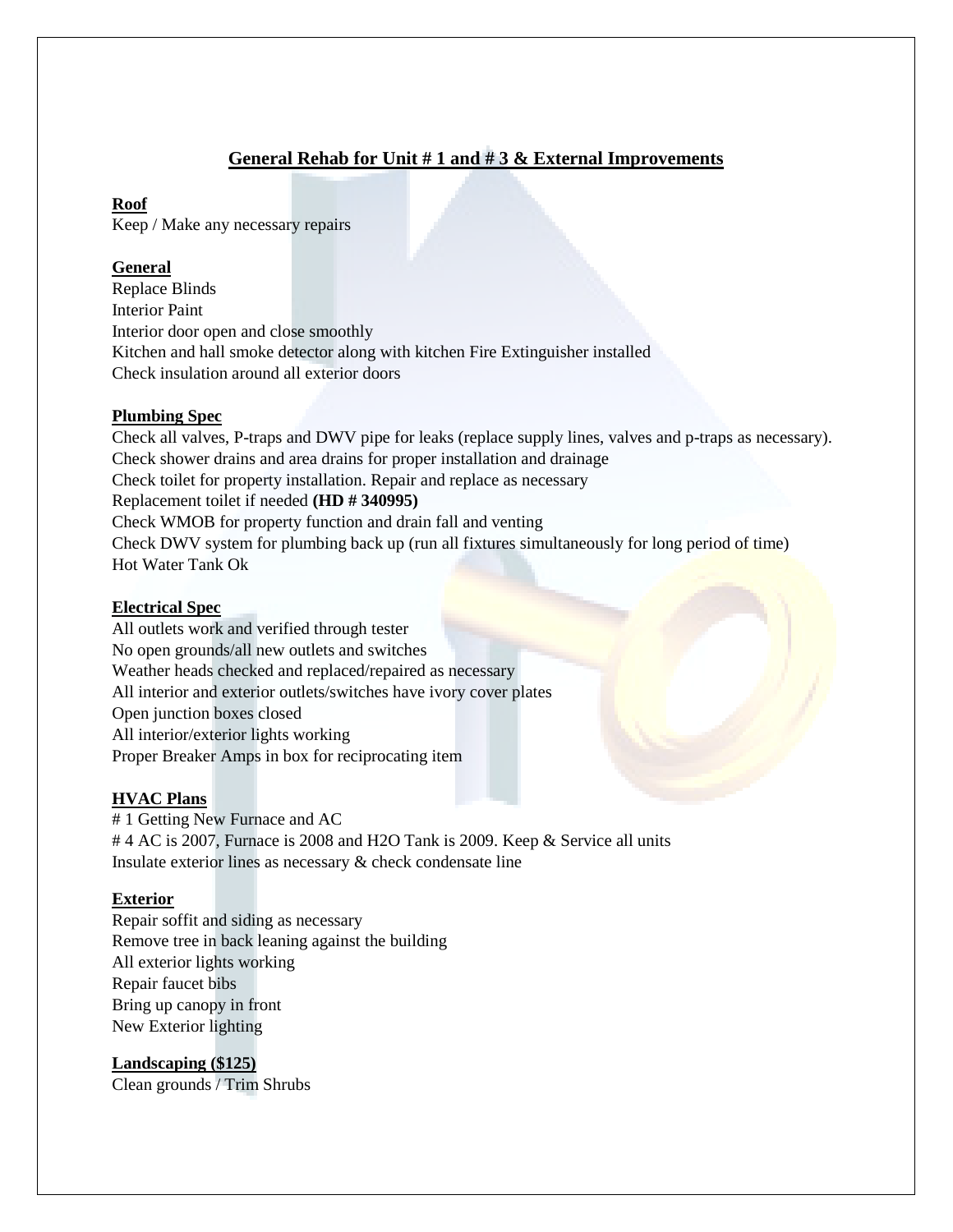# **General Rehab for Unit # 1 and # 3 & External Improvements**

#### **Roof**

Keep / Make any necessary repairs

## **General**

Replace Blinds Interior Paint Interior door open and close smoothly Kitchen and hall smoke detector along with kitchen Fire Extinguisher installed Check insulation around all exterior doors

## **Plumbing Spec**

Check all valves, P-traps and DWV pipe for leaks (replace supply lines, valves and p-traps as necessary). Check shower drains and area drains for proper installation and drainage Check toilet for property installation. Repair and replace as necessary Replacement toilet if needed **(HD # 340995)** Check WMOB for property function and drain fall and venting Check DWV system for plumbing back up (run all fixtures simultaneously for long period of time) Hot Water Tank Ok

## **Electrical Spec**

All outlets work and verified through tester No open grounds/all new outlets and switches Weather heads checked and replaced/repaired as necessary All interior and exterior outlets/switches have ivory cover plates Open junction boxes closed All interior/exterior lights working Proper Breaker Amps in box for reciprocating item

## **HVAC Plans**

# 1 Getting New Furnace and AC # 4 AC is 2007, Furnace is 2008 and H2O Tank is 2009. Keep & Service all units Insulate exterior lines as necessary & check condensate line

## **Exterior**

Repair soffit and siding as necessary Remove tree in back leaning against the building All exterior lights working Repair faucet bibs Bring up canopy in front New Exterior lighting

**Landscaping (\$125)** Clean grounds / Trim Shrubs